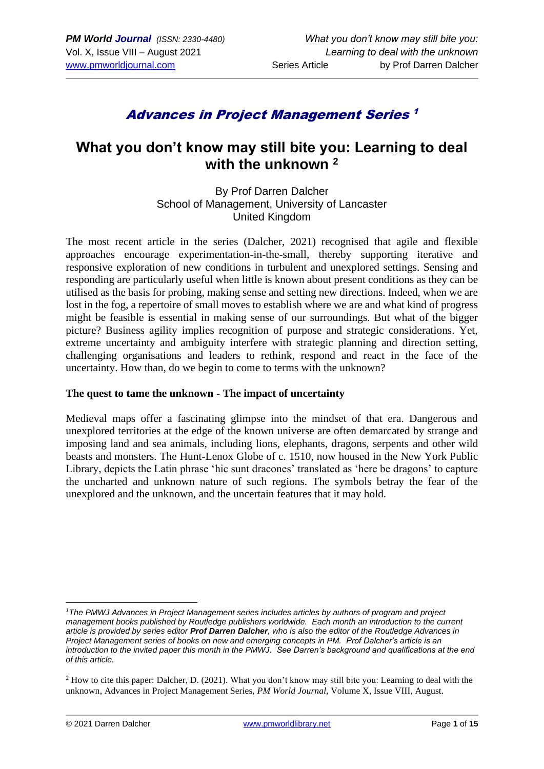# Advances in Project Management Series 1

# **What you don't know may still bite you: Learning to deal with the unknown <sup>2</sup>**

By Prof Darren Dalcher School of Management, University of Lancaster United Kingdom

The most recent article in the series (Dalcher, 2021) recognised that agile and flexible approaches encourage experimentation-in-the-small, thereby supporting iterative and responsive exploration of new conditions in turbulent and unexplored settings. Sensing and responding are particularly useful when little is known about present conditions as they can be utilised as the basis for probing, making sense and setting new directions. Indeed, when we are lost in the fog, a repertoire of small moves to establish where we are and what kind of progress might be feasible is essential in making sense of our surroundings. But what of the bigger picture? Business agility implies recognition of purpose and strategic considerations. Yet, extreme uncertainty and ambiguity interfere with strategic planning and direction setting, challenging organisations and leaders to rethink, respond and react in the face of the uncertainty. How than, do we begin to come to terms with the unknown?

#### **The quest to tame the unknown - The impact of uncertainty**

Medieval maps offer a fascinating glimpse into the mindset of that era. Dangerous and unexplored territories at the edge of the known universe are often demarcated by strange and imposing land and sea animals, including lions, elephants, dragons, serpents and other wild beasts and monsters. The Hunt-Lenox Globe of c. 1510, now housed in the New York Public Library, depicts the Latin phrase 'hic sunt dracones' translated as 'here be dragons' to capture the uncharted and unknown nature of such regions. The symbols betray the fear of the unexplored and the unknown, and the uncertain features that it may hold.

*<sup>1</sup>The PMWJ Advances in Project Management series includes articles by authors of program and project management books published by Routledge publishers worldwide. Each month an introduction to the current article is provided by series editor Prof Darren Dalcher, who is also the editor of the Routledge Advances in Project Management series of books on new and emerging concepts in PM. Prof Dalcher's article is an introduction to the invited paper this month in the PMWJ. See Darren's background and qualifications at the end of this article.*

<sup>&</sup>lt;sup>2</sup> How to cite this paper: Dalcher, D. (2021). What you don't know may still bite you: Learning to deal with the unknown, Advances in Project Management Series, *PM World Journal,* Volume X, Issue VIII, August.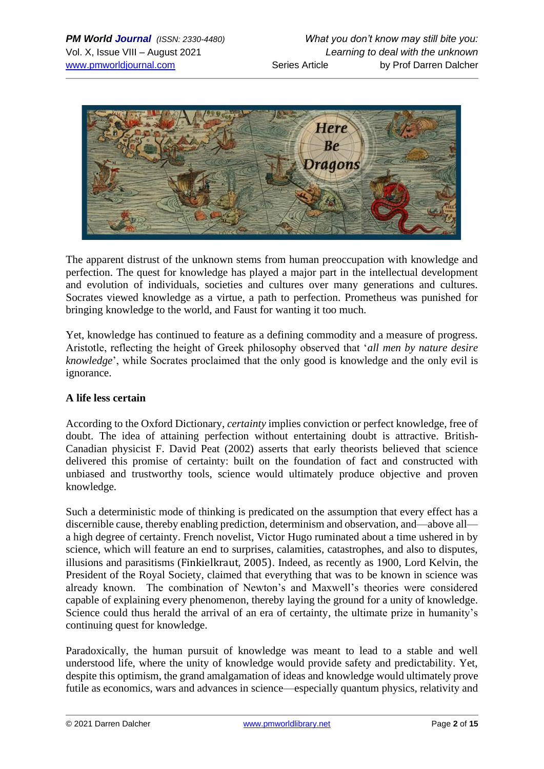

The apparent distrust of the unknown stems from human preoccupation with knowledge and perfection. The quest for knowledge has played a major part in the intellectual development and evolution of individuals, societies and cultures over many generations and cultures. Socrates viewed knowledge as a virtue, a path to perfection. Prometheus was punished for bringing knowledge to the world, and Faust for wanting it too much.

Yet, knowledge has continued to feature as a defining commodity and a measure of progress. Aristotle, reflecting the height of Greek philosophy observed that '*all men by nature desire knowledge*', while Socrates proclaimed that the only good is knowledge and the only evil is ignorance.

### **A life less certain**

According to the Oxford Dictionary, *certainty* implies conviction or perfect knowledge, free of doubt. The idea of attaining perfection without entertaining doubt is attractive. British-Canadian physicist F. David Peat (2002) asserts that early theorists believed that science delivered this promise of certainty: built on the foundation of fact and constructed with unbiased and trustworthy tools, science would ultimately produce objective and proven knowledge.

Such a deterministic mode of thinking is predicated on the assumption that every effect has a discernible cause, thereby enabling prediction, determinism and observation, and—above all a high degree of certainty. French novelist, Victor Hugo ruminated about a time ushered in by science, which will feature an end to surprises, calamities, catastrophes, and also to disputes, illusions and parasitisms (Finkielkraut, 2005). Indeed, as recently as 1900, Lord Kelvin, the President of the Royal Society, claimed that everything that was to be known in science was already known. The combination of Newton's and Maxwell's theories were considered capable of explaining every phenomenon, thereby laying the ground for a unity of knowledge. Science could thus herald the arrival of an era of certainty, the ultimate prize in humanity's continuing quest for knowledge.

Paradoxically, the human pursuit of knowledge was meant to lead to a stable and well understood life, where the unity of knowledge would provide safety and predictability. Yet, despite this optimism, the grand amalgamation of ideas and knowledge would ultimately prove futile as economics, wars and advances in science—especially quantum physics, relativity and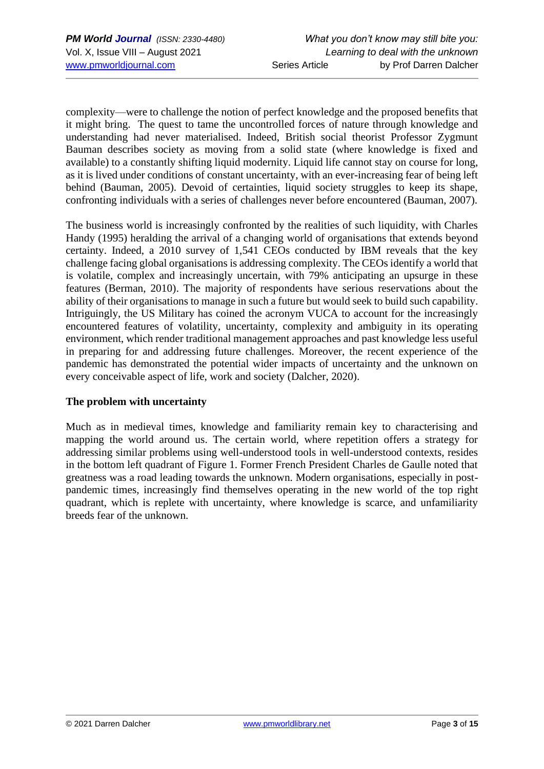complexity—were to challenge the notion of perfect knowledge and the proposed benefits that it might bring. The quest to tame the uncontrolled forces of nature through knowledge and understanding had never materialised. Indeed, British social theorist Professor Zygmunt Bauman describes society as moving from a solid state (where knowledge is fixed and available) to a constantly shifting liquid modernity. Liquid life cannot stay on course for long, as it is lived under conditions of constant uncertainty, with an ever-increasing fear of being left behind (Bauman, 2005). Devoid of certainties, liquid society struggles to keep its shape, confronting individuals with a series of challenges never before encountered (Bauman, 2007).

The business world is increasingly confronted by the realities of such liquidity, with Charles Handy (1995) heralding the arrival of a changing world of organisations that extends beyond certainty. Indeed, a 2010 survey of 1,541 CEOs conducted by IBM reveals that the key challenge facing global organisations is addressing complexity. The CEOs identify a world that is volatile, complex and increasingly uncertain, with 79% anticipating an upsurge in these features (Berman, 2010). The majority of respondents have serious reservations about the ability of their organisations to manage in such a future but would seek to build such capability. Intriguingly, the US Military has coined the acronym VUCA to account for the increasingly encountered features of volatility, uncertainty, complexity and ambiguity in its operating environment, which render traditional management approaches and past knowledge less useful in preparing for and addressing future challenges. Moreover, the recent experience of the pandemic has demonstrated the potential wider impacts of uncertainty and the unknown on every conceivable aspect of life, work and society (Dalcher, 2020).

## **The problem with uncertainty**

Much as in medieval times, knowledge and familiarity remain key to characterising and mapping the world around us. The certain world, where repetition offers a strategy for addressing similar problems using well-understood tools in well-understood contexts, resides in the bottom left quadrant of Figure 1. Former French President Charles de Gaulle noted that greatness was a road leading towards the unknown. Modern organisations, especially in postpandemic times, increasingly find themselves operating in the new world of the top right quadrant, which is replete with uncertainty, where knowledge is scarce, and unfamiliarity breeds fear of the unknown.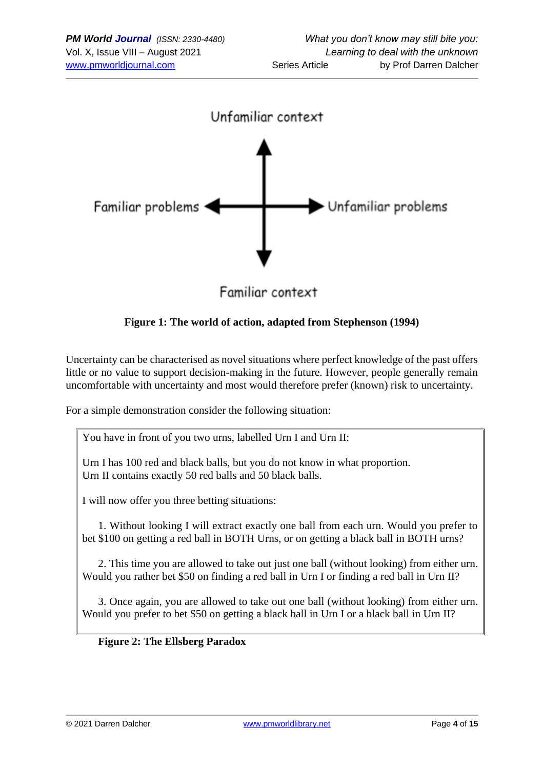

**Figure 1: The world of action, adapted from Stephenson (1994)**

Uncertainty can be characterised as novel situations where perfect knowledge of the past offers little or no value to support decision-making in the future. However, people generally remain uncomfortable with uncertainty and most would therefore prefer (known) risk to uncertainty.

For a simple demonstration consider the following situation:

You have in front of you two urns, labelled Urn I and Urn II:

Urn I has 100 red and black balls, but you do not know in what proportion. Urn II contains exactly 50 red balls and 50 black balls.

I will now offer you three betting situations:

1. Without looking I will extract exactly one ball from each urn. Would you prefer to bet \$100 on getting a red ball in BOTH Urns, or on getting a black ball in BOTH urns?

2. This time you are allowed to take out just one ball (without looking) from either urn. Would you rather bet \$50 on finding a red ball in Urn I or finding a red ball in Urn II?

3. Once again, you are allowed to take out one ball (without looking) from either urn. Would you prefer to bet \$50 on getting a black ball in Urn I or a black ball in Urn II?

#### **Figure 2: The Ellsberg Paradox**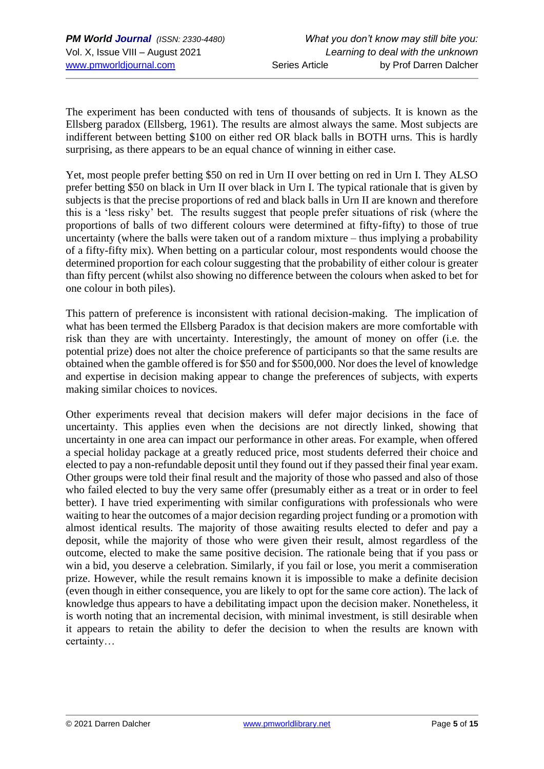The experiment has been conducted with tens of thousands of subjects. It is known as the Ellsberg paradox (Ellsberg, 1961). The results are almost always the same. Most subjects are indifferent between betting \$100 on either red OR black balls in BOTH urns. This is hardly surprising, as there appears to be an equal chance of winning in either case.

Yet, most people prefer betting \$50 on red in Urn II over betting on red in Urn I. They ALSO prefer betting \$50 on black in Urn II over black in Urn I. The typical rationale that is given by subjects is that the precise proportions of red and black balls in Urn II are known and therefore this is a 'less risky' bet. The results suggest that people prefer situations of risk (where the proportions of balls of two different colours were determined at fifty-fifty) to those of true uncertainty (where the balls were taken out of a random mixture – thus implying a probability of a fifty-fifty mix). When betting on a particular colour, most respondents would choose the determined proportion for each colour suggesting that the probability of either colour is greater than fifty percent (whilst also showing no difference between the colours when asked to bet for one colour in both piles).

This pattern of preference is inconsistent with rational decision-making. The implication of what has been termed the Ellsberg Paradox is that decision makers are more comfortable with risk than they are with uncertainty. Interestingly, the amount of money on offer (i.e. the potential prize) does not alter the choice preference of participants so that the same results are obtained when the gamble offered is for \$50 and for \$500,000. Nor does the level of knowledge and expertise in decision making appear to change the preferences of subjects, with experts making similar choices to novices.

Other experiments reveal that decision makers will defer major decisions in the face of uncertainty. This applies even when the decisions are not directly linked, showing that uncertainty in one area can impact our performance in other areas. For example, when offered a special holiday package at a greatly reduced price, most students deferred their choice and elected to pay a non-refundable deposit until they found out if they passed their final year exam. Other groups were told their final result and the majority of those who passed and also of those who failed elected to buy the very same offer (presumably either as a treat or in order to feel better). I have tried experimenting with similar configurations with professionals who were waiting to hear the outcomes of a major decision regarding project funding or a promotion with almost identical results. The majority of those awaiting results elected to defer and pay a deposit, while the majority of those who were given their result, almost regardless of the outcome, elected to make the same positive decision. The rationale being that if you pass or win a bid, you deserve a celebration. Similarly, if you fail or lose, you merit a commiseration prize. However, while the result remains known it is impossible to make a definite decision (even though in either consequence, you are likely to opt for the same core action). The lack of knowledge thus appears to have a debilitating impact upon the decision maker. Nonetheless, it is worth noting that an incremental decision, with minimal investment, is still desirable when it appears to retain the ability to defer the decision to when the results are known with certainty…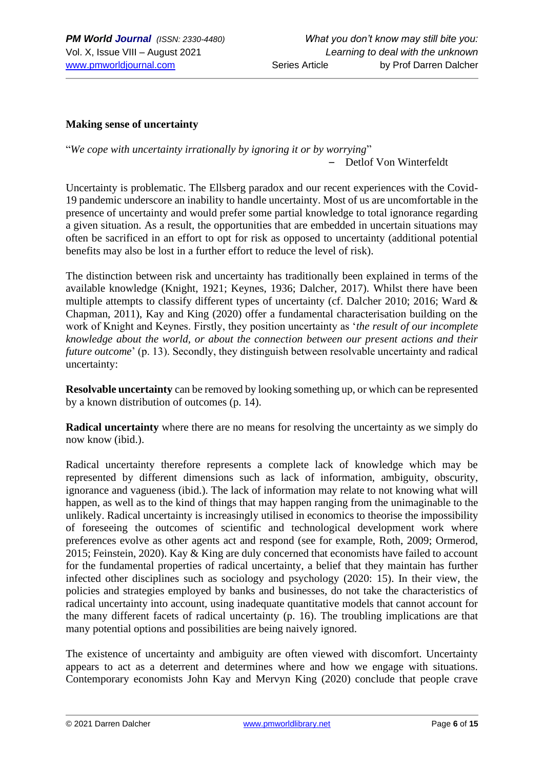#### **Making sense of uncertainty**

"*We cope with uncertainty irrationally by ignoring it or by worrying*" – Detlof Von Winterfeldt

Uncertainty is problematic. The Ellsberg paradox and our recent experiences with the Covid-19 pandemic underscore an inability to handle uncertainty. Most of us are uncomfortable in the presence of uncertainty and would prefer some partial knowledge to total ignorance regarding a given situation. As a result, the opportunities that are embedded in uncertain situations may often be sacrificed in an effort to opt for risk as opposed to uncertainty (additional potential benefits may also be lost in a further effort to reduce the level of risk).

The distinction between risk and uncertainty has traditionally been explained in terms of the available knowledge (Knight, 1921; Keynes, 1936; Dalcher, 2017). Whilst there have been multiple attempts to classify different types of uncertainty (cf. Dalcher 2010; 2016; Ward & Chapman, 2011), Kay and King (2020) offer a fundamental characterisation building on the work of Knight and Keynes. Firstly, they position uncertainty as '*the result of our incomplete knowledge about the world, or about the connection between our present actions and their future outcome*' (p. 13). Secondly, they distinguish between resolvable uncertainty and radical uncertainty:

**Resolvable uncertainty** can be removed by looking something up, or which can be represented by a known distribution of outcomes (p. 14).

**Radical uncertainty** where there are no means for resolving the uncertainty as we simply do now know (ibid.).

Radical uncertainty therefore represents a complete lack of knowledge which may be represented by different dimensions such as lack of information, ambiguity, obscurity, ignorance and vagueness (ibid.). The lack of information may relate to not knowing what will happen, as well as to the kind of things that may happen ranging from the unimaginable to the unlikely. Radical uncertainty is increasingly utilised in economics to theorise the impossibility of foreseeing the outcomes of scientific and technological development work where preferences evolve as other agents act and respond (see for example, Roth, 2009; Ormerod, 2015; Feinstein, 2020). Kay & King are duly concerned that economists have failed to account for the fundamental properties of radical uncertainty, a belief that they maintain has further infected other disciplines such as sociology and psychology (2020: 15). In their view, the policies and strategies employed by banks and businesses, do not take the characteristics of radical uncertainty into account, using inadequate quantitative models that cannot account for the many different facets of radical uncertainty (p. 16). The troubling implications are that many potential options and possibilities are being naively ignored.

The existence of uncertainty and ambiguity are often viewed with discomfort. Uncertainty appears to act as a deterrent and determines where and how we engage with situations. Contemporary economists John Kay and Mervyn King (2020) conclude that people crave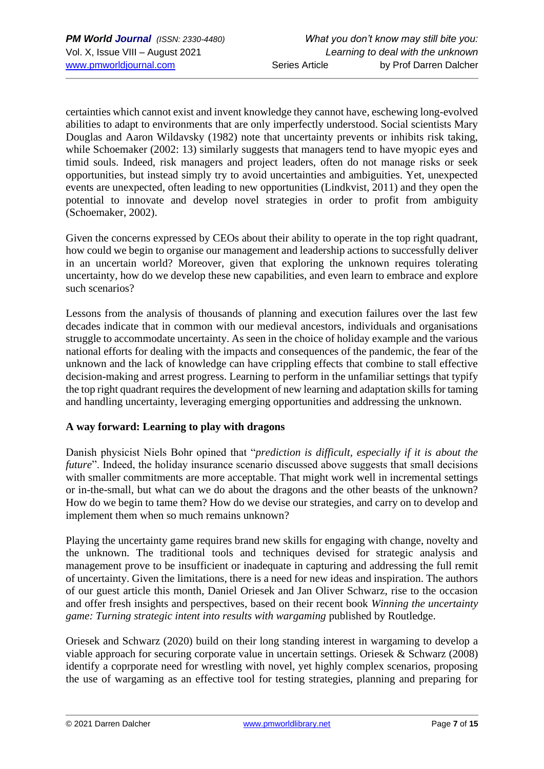certainties which cannot exist and invent knowledge they cannot have, eschewing long-evolved abilities to adapt to environments that are only imperfectly understood. Social scientists Mary Douglas and Aaron Wildavsky (1982) note that uncertainty prevents or inhibits risk taking, while Schoemaker (2002: 13) similarly suggests that managers tend to have myopic eyes and timid souls. Indeed, risk managers and project leaders, often do not manage risks or seek opportunities, but instead simply try to avoid uncertainties and ambiguities. Yet, unexpected events are unexpected, often leading to new opportunities (Lindkvist, 2011) and they open the potential to innovate and develop novel strategies in order to profit from ambiguity (Schoemaker, 2002).

Given the concerns expressed by CEOs about their ability to operate in the top right quadrant, how could we begin to organise our management and leadership actions to successfully deliver in an uncertain world? Moreover, given that exploring the unknown requires tolerating uncertainty, how do we develop these new capabilities, and even learn to embrace and explore such scenarios?

Lessons from the analysis of thousands of planning and execution failures over the last few decades indicate that in common with our medieval ancestors, individuals and organisations struggle to accommodate uncertainty. As seen in the choice of holiday example and the various national efforts for dealing with the impacts and consequences of the pandemic, the fear of the unknown and the lack of knowledge can have crippling effects that combine to stall effective decision-making and arrest progress. Learning to perform in the unfamiliar settings that typify the top right quadrant requires the development of new learning and adaptation skills for taming and handling uncertainty, leveraging emerging opportunities and addressing the unknown.

## **A way forward: Learning to play with dragons**

Danish physicist Niels Bohr opined that "*prediction is difficult, especially if it is about the future*". Indeed, the holiday insurance scenario discussed above suggests that small decisions with smaller commitments are more acceptable. That might work well in incremental settings or in-the-small, but what can we do about the dragons and the other beasts of the unknown? How do we begin to tame them? How do we devise our strategies, and carry on to develop and implement them when so much remains unknown?

Playing the uncertainty game requires brand new skills for engaging with change, novelty and the unknown. The traditional tools and techniques devised for strategic analysis and management prove to be insufficient or inadequate in capturing and addressing the full remit of uncertainty. Given the limitations, there is a need for new ideas and inspiration. The authors of our guest article this month, Daniel Oriesek and Jan Oliver Schwarz, rise to the occasion and offer fresh insights and perspectives, based on their recent book *Winning the uncertainty game: Turning strategic intent into results with wargaming* published by Routledge.

Oriesek and Schwarz (2020) build on their long standing interest in wargaming to develop a viable approach for securing corporate value in uncertain settings. Oriesek & Schwarz (2008) identify a coprporate need for wrestling with novel, yet highly complex scenarios, proposing the use of wargaming as an effective tool for testing strategies, planning and preparing for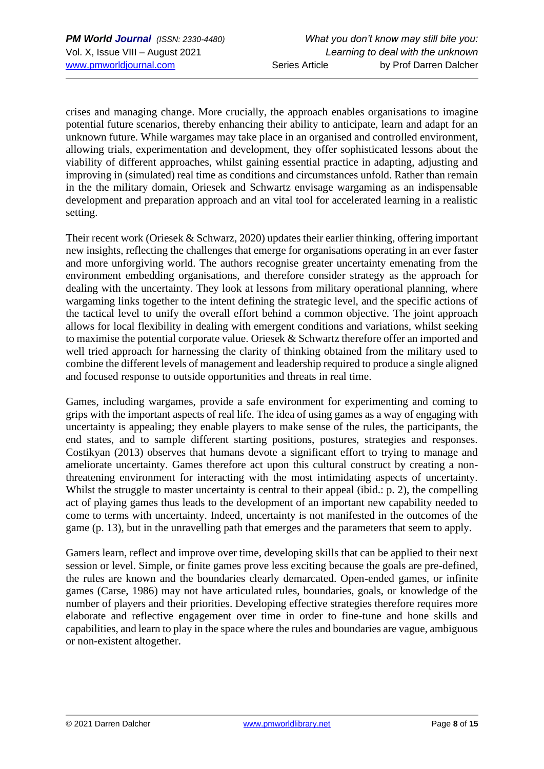crises and managing change. More crucially, the approach enables organisations to imagine potential future scenarios, thereby enhancing their ability to anticipate, learn and adapt for an unknown future. While wargames may take place in an organised and controlled environment, allowing trials, experimentation and development, they offer sophisticated lessons about the viability of different approaches, whilst gaining essential practice in adapting, adjusting and improving in (simulated) real time as conditions and circumstances unfold. Rather than remain in the the military domain, Oriesek and Schwartz envisage wargaming as an indispensable development and preparation approach and an vital tool for accelerated learning in a realistic setting.

Their recent work (Oriesek & Schwarz, 2020) updates their earlier thinking, offering important new insights, reflecting the challenges that emerge for organisations operating in an ever faster and more unforgiving world. The authors recognise greater uncertainty emenating from the environment embedding organisations, and therefore consider strategy as the approach for dealing with the uncertainty. They look at lessons from military operational planning, where wargaming links together to the intent defining the strategic level, and the specific actions of the tactical level to unify the overall effort behind a common objective. The joint approach allows for local flexibility in dealing with emergent conditions and variations, whilst seeking to maximise the potential corporate value. Oriesek & Schwartz therefore offer an imported and well tried approach for harnessing the clarity of thinking obtained from the military used to combine the different levels of management and leadership required to produce a single aligned and focused response to outside opportunities and threats in real time.

Games, including wargames, provide a safe environment for experimenting and coming to grips with the important aspects of real life. The idea of using games as a way of engaging with uncertainty is appealing; they enable players to make sense of the rules, the participants, the end states, and to sample different starting positions, postures, strategies and responses. Costikyan (2013) observes that humans devote a significant effort to trying to manage and ameliorate uncertainty. Games therefore act upon this cultural construct by creating a nonthreatening environment for interacting with the most intimidating aspects of uncertainty. Whilst the struggle to master uncertainty is central to their appeal (ibid.: p. 2), the compelling act of playing games thus leads to the development of an important new capability needed to come to terms with uncertainty. Indeed, uncertainty is not manifested in the outcomes of the game (p. 13), but in the unravelling path that emerges and the parameters that seem to apply.

Gamers learn, reflect and improve over time, developing skills that can be applied to their next session or level. Simple, or finite games prove less exciting because the goals are pre-defined, the rules are known and the boundaries clearly demarcated. Open-ended games, or infinite games (Carse, 1986) may not have articulated rules, boundaries, goals, or knowledge of the number of players and their priorities. Developing effective strategies therefore requires more elaborate and reflective engagement over time in order to fine-tune and hone skills and capabilities, and learn to play in the space where the rules and boundaries are vague, ambiguous or non-existent altogether.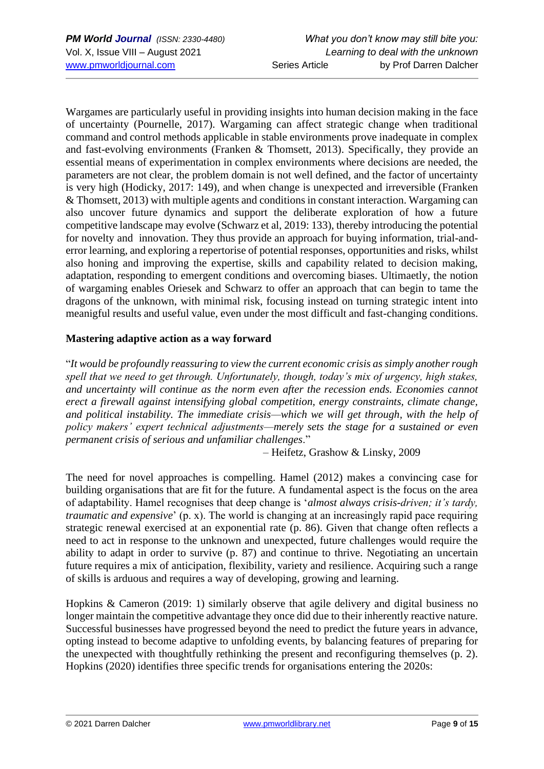Wargames are particularly useful in providing insights into human decision making in the face of uncertainty (Pournelle, 2017). Wargaming can affect strategic change when traditional command and control methods applicable in stable environments prove inadequate in complex and fast-evolving environments (Franken & Thomsett, 2013). Specifically, they provide an essential means of experimentation in complex environments where decisions are needed, the parameters are not clear, the problem domain is not well defined, and the factor of uncertainty is very high (Hodicky, 2017: 149), and when change is unexpected and irreversible (Franken & Thomsett, 2013) with multiple agents and conditions in constant interaction. Wargaming can also uncover future dynamics and support the deliberate exploration of how a future competitive landscape may evolve (Schwarz et al, 2019: 133), thereby introducing the potential for novelty and innovation. They thus provide an approach for buying information, trial-anderror learning, and exploring a repertorise of potential responses, opportunities and risks, whilst also honing and improving the expertise, skills and capability related to decision making, adaptation, responding to emergent conditions and overcoming biases. Ultimaetly, the notion of wargaming enables Oriesek and Schwarz to offer an approach that can begin to tame the dragons of the unknown, with minimal risk, focusing instead on turning strategic intent into meanigful results and useful value, even under the most difficult and fast-changing conditions.

## **Mastering adaptive action as a way forward**

"*It would be profoundly reassuring to view the current economic crisis as simply another rough spell that we need to get through. Unfortunately, though, today's mix of urgency, high stakes, and uncertainty will continue as the norm even after the recession ends. Economies cannot erect a firewall against intensifying global competition, energy constraints, climate change, and political instability. The immediate crisis—which we will get through, with the help of policy makers' expert technical adjustments—merely sets the stage for a sustained or even permanent crisis of serious and unfamiliar challenges*."

– Heifetz, Grashow & Linsky, 2009

The need for novel approaches is compelling. Hamel (2012) makes a convincing case for building organisations that are fit for the future. A fundamental aspect is the focus on the area of adaptability. Hamel recognises that deep change is '*almost always crisis-driven; it's tardy, traumatic and expensive*' (p. x). The world is changing at an increasingly rapid pace requiring strategic renewal exercised at an exponential rate (p. 86). Given that change often reflects a need to act in response to the unknown and unexpected, future challenges would require the ability to adapt in order to survive (p. 87) and continue to thrive. Negotiating an uncertain future requires a mix of anticipation, flexibility, variety and resilience. Acquiring such a range of skills is arduous and requires a way of developing, growing and learning.

Hopkins & Cameron (2019: 1) similarly observe that agile delivery and digital business no longer maintain the competitive advantage they once did due to their inherently reactive nature. Successful businesses have progressed beyond the need to predict the future years in advance, opting instead to become adaptive to unfolding events, by balancing features of preparing for the unexpected with thoughtfully rethinking the present and reconfiguring themselves (p. 2). Hopkins (2020) identifies three specific trends for organisations entering the 2020s: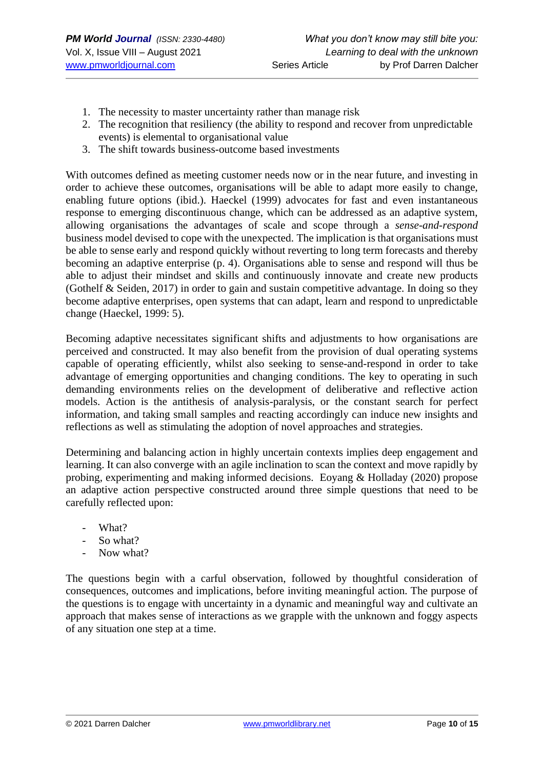- 1. The necessity to master uncertainty rather than manage risk
- 2. The recognition that resiliency (the ability to respond and recover from unpredictable events) is elemental to organisational value
- 3. The shift towards business-outcome based investments

With outcomes defined as meeting customer needs now or in the near future, and investing in order to achieve these outcomes, organisations will be able to adapt more easily to change, enabling future options (ibid.). Haeckel (1999) advocates for fast and even instantaneous response to emerging discontinuous change, which can be addressed as an adaptive system, allowing organisations the advantages of scale and scope through a *sense-and-respond* business model devised to cope with the unexpected. The implication is that organisations must be able to sense early and respond quickly without reverting to long term forecasts and thereby becoming an adaptive enterprise (p. 4). Organisations able to sense and respond will thus be able to adjust their mindset and skills and continuously innovate and create new products (Gothelf & Seiden, 2017) in order to gain and sustain competitive advantage. In doing so they become adaptive enterprises, open systems that can adapt, learn and respond to unpredictable change (Haeckel, 1999: 5).

Becoming adaptive necessitates significant shifts and adjustments to how organisations are perceived and constructed. It may also benefit from the provision of dual operating systems capable of operating efficiently, whilst also seeking to sense-and-respond in order to take advantage of emerging opportunities and changing conditions. The key to operating in such demanding environments relies on the development of deliberative and reflective action models. Action is the antithesis of analysis-paralysis, or the constant search for perfect information, and taking small samples and reacting accordingly can induce new insights and reflections as well as stimulating the adoption of novel approaches and strategies.

Determining and balancing action in highly uncertain contexts implies deep engagement and learning. It can also converge with an agile inclination to scan the context and move rapidly by probing, experimenting and making informed decisions. Eoyang & Holladay (2020) propose an adaptive action perspective constructed around three simple questions that need to be carefully reflected upon:

- What?
- So what?
- Now what?

The questions begin with a carful observation, followed by thoughtful consideration of consequences, outcomes and implications, before inviting meaningful action. The purpose of the questions is to engage with uncertainty in a dynamic and meaningful way and cultivate an approach that makes sense of interactions as we grapple with the unknown and foggy aspects of any situation one step at a time.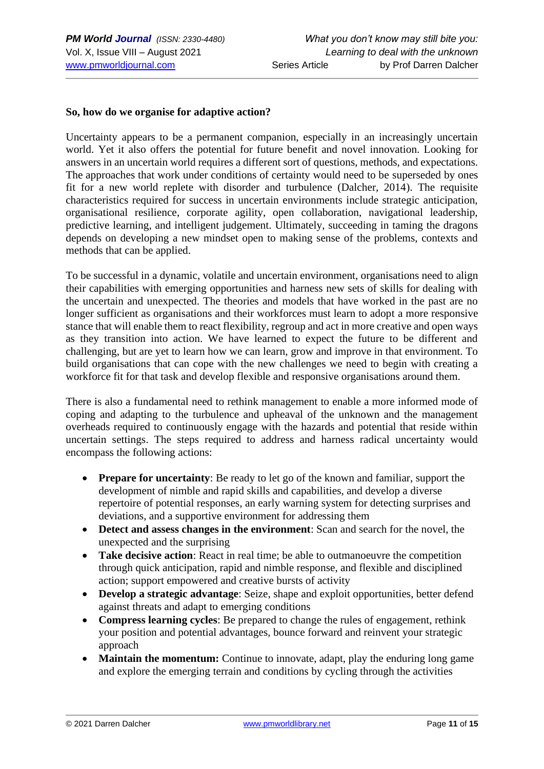#### **So, how do we organise for adaptive action?**

Uncertainty appears to be a permanent companion, especially in an increasingly uncertain world. Yet it also offers the potential for future benefit and novel innovation. Looking for answers in an uncertain world requires a different sort of questions, methods, and expectations. The approaches that work under conditions of certainty would need to be superseded by ones fit for a new world replete with disorder and turbulence (Dalcher, 2014). The requisite characteristics required for success in uncertain environments include strategic anticipation, organisational resilience, corporate agility, open collaboration, navigational leadership, predictive learning, and intelligent judgement. Ultimately, succeeding in taming the dragons depends on developing a new mindset open to making sense of the problems, contexts and methods that can be applied.

To be successful in a dynamic, volatile and uncertain environment, organisations need to align their capabilities with emerging opportunities and harness new sets of skills for dealing with the uncertain and unexpected. The theories and models that have worked in the past are no longer sufficient as organisations and their workforces must learn to adopt a more responsive stance that will enable them to react flexibility, regroup and act in more creative and open ways as they transition into action. We have learned to expect the future to be different and challenging, but are yet to learn how we can learn, grow and improve in that environment. To build organisations that can cope with the new challenges we need to begin with creating a workforce fit for that task and develop flexible and responsive organisations around them.

There is also a fundamental need to rethink management to enable a more informed mode of coping and adapting to the turbulence and upheaval of the unknown and the management overheads required to continuously engage with the hazards and potential that reside within uncertain settings. The steps required to address and harness radical uncertainty would encompass the following actions:

- **Prepare for uncertainty**: Be ready to let go of the known and familiar, support the development of nimble and rapid skills and capabilities, and develop a diverse repertoire of potential responses, an early warning system for detecting surprises and deviations, and a supportive environment for addressing them
- **Detect and assess changes in the environment**: Scan and search for the novel, the unexpected and the surprising
- **Take decisive action**: React in real time; be able to outmanoeuvre the competition through quick anticipation, rapid and nimble response, and flexible and disciplined action; support empowered and creative bursts of activity
- **Develop a strategic advantage**: Seize, shape and exploit opportunities, better defend against threats and adapt to emerging conditions
- **Compress learning cycles**: Be prepared to change the rules of engagement, rethink your position and potential advantages, bounce forward and reinvent your strategic approach
- **Maintain the momentum:** Continue to innovate, adapt, play the enduring long game and explore the emerging terrain and conditions by cycling through the activities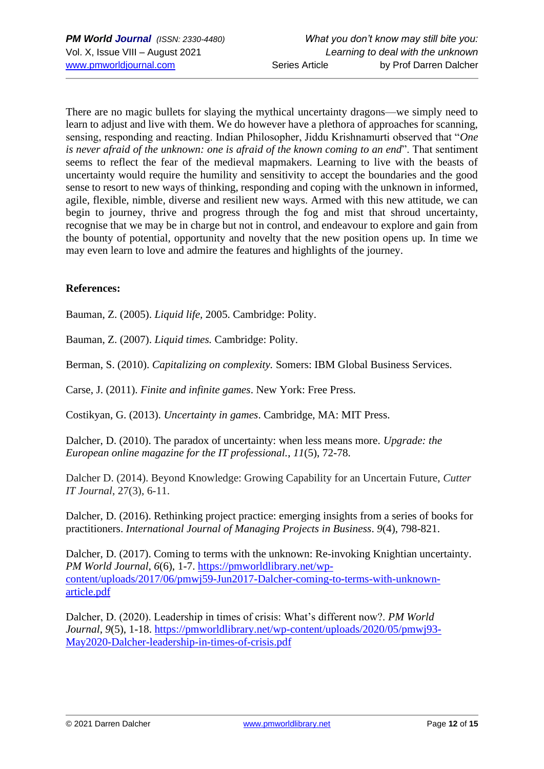There are no magic bullets for slaying the mythical uncertainty dragons—we simply need to learn to adjust and live with them. We do however have a plethora of approaches for scanning, sensing, responding and reacting. Indian Philosopher, Jiddu Krishnamurti observed that "*One is never afraid of the unknown: one is afraid of the known coming to an end*". That sentiment seems to reflect the fear of the medieval mapmakers. Learning to live with the beasts of uncertainty would require the humility and sensitivity to accept the boundaries and the good sense to resort to new ways of thinking, responding and coping with the unknown in informed, agile, flexible, nimble, diverse and resilient new ways. Armed with this new attitude, we can begin to journey, thrive and progress through the fog and mist that shroud uncertainty, recognise that we may be in charge but not in control, and endeavour to explore and gain from the bounty of potential, opportunity and novelty that the new position opens up. In time we may even learn to love and admire the features and highlights of the journey.

### **References:**

Bauman, Z. (2005). *Liquid life,* 2005. Cambridge: Polity.

Bauman, Z. (2007). *Liquid times.* Cambridge: Polity.

Berman, S. (2010). *Capitalizing on complexity.* Somers: IBM Global Business Services.

Carse, J. (2011). *Finite and infinite games*. New York: Free Press.

Costikyan, G. (2013). *Uncertainty in games*. Cambridge, MA: MIT Press.

Dalcher, D. (2010). The paradox of uncertainty: when less means more. *Upgrade: the European online magazine for the IT professional.*, *11*(5), 72-78.

Dalcher D. (2014). Beyond Knowledge: Growing Capability for an Uncertain Future, *Cutter IT Journal*, 27(3), 6-11.

Dalcher, D. (2016). Rethinking project practice: emerging insights from a series of books for practitioners. *International Journal of Managing Projects in Business*. *9*(4), 798-821.

Dalcher, D. (2017). Coming to terms with the unknown: Re-invoking Knightian uncertainty. *PM World Journal, 6*(6), 1-7. [https://pmworldlibrary.net/wp](https://pmworldlibrary.net/wp-content/uploads/2017/06/pmwj59-Jun2017-Dalcher-coming-to-terms-with-unknown-article.pdf)[content/uploads/2017/06/pmwj59-Jun2017-Dalcher-coming-to-terms-with-unknown](https://pmworldlibrary.net/wp-content/uploads/2017/06/pmwj59-Jun2017-Dalcher-coming-to-terms-with-unknown-article.pdf)[article.pdf](https://pmworldlibrary.net/wp-content/uploads/2017/06/pmwj59-Jun2017-Dalcher-coming-to-terms-with-unknown-article.pdf)

Dalcher, D. (2020). Leadership in times of crisis: What's different now?. *PM World Journal*, *9*(5), 1-18. [https://pmworldlibrary.net/wp-content/uploads/2020/05/pmwj93-](https://pmworldlibrary.net/wp-content/uploads/2020/05/pmwj93-May2020-Dalcher-leadership-in-times-of-crisis.pdf) [May2020-Dalcher-leadership-in-times-of-crisis.pdf](https://pmworldlibrary.net/wp-content/uploads/2020/05/pmwj93-May2020-Dalcher-leadership-in-times-of-crisis.pdf)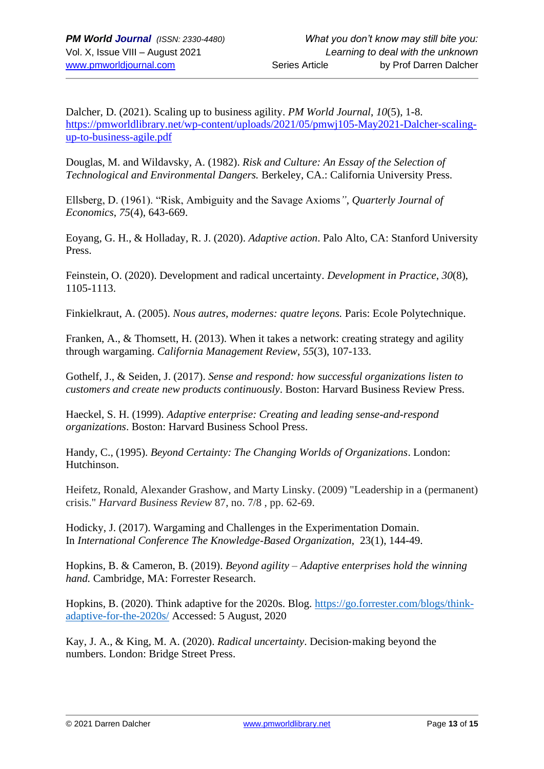Dalcher, D. (2021). Scaling up to business agility. *PM World Journal*, *10*(5), 1-8. [https://pmworldlibrary.net/wp-content/uploads/2021/05/pmwj105-May2021-Dalcher-scaling](https://pmworldlibrary.net/wp-content/uploads/2021/05/pmwj105-May2021-Dalcher-scaling-up-to-business-agile.pdf)[up-to-business-agile.pdf](https://pmworldlibrary.net/wp-content/uploads/2021/05/pmwj105-May2021-Dalcher-scaling-up-to-business-agile.pdf)

Douglas, M. and Wildavsky, A. (1982). *Risk and Culture: An Essay of the Selection of Technological and Environmental Dangers.* Berkeley, CA.: California University Press.

Ellsberg, D. (1961). "Risk, Ambiguity and the Savage Axioms*"*, *Quarterly Journal of Economics*, *75*(4), 643-669.

Eoyang, G. H., & Holladay, R. J. (2020). *Adaptive action*. Palo Alto, CA: Stanford University Press.

Feinstein, O. (2020). Development and radical uncertainty. *Development in Practice*, *30*(8), 1105-1113.

Finkielkraut, A. (2005). *Nous autres, modernes: quatre leçons.* Paris: Ecole Polytechnique.

Franken, A., & Thomsett, H. (2013). When it takes a network: creating strategy and agility through wargaming. *California Management Review*, *55*(3), 107-133.

Gothelf, J., & Seiden, J. (2017). *Sense and respond: how successful organizations listen to customers and create new products continuously*. Boston: Harvard Business Review Press.

Haeckel, S. H. (1999). *Adaptive enterprise: Creating and leading sense-and-respond organizations*. Boston: Harvard Business School Press.

Handy, C., (1995). *Beyond Certainty: The Changing Worlds of Organizations*. London: Hutchinson.

Heifetz, Ronald, Alexander Grashow, and Marty Linsky. (2009) "Leadership in a (permanent) crisis." *Harvard Business Review* 87, no. 7/8 , pp. 62-69.

Hodicky, J. (2017). Wargaming and Challenges in the Experimentation Domain. In *International Conference The Knowledge-Based Organization*, 23(1), 144-49.

Hopkins, B. & Cameron, B. (2019). *Beyond agility – Adaptive enterprises hold the winning hand.* Cambridge, MA: Forrester Research.

Hopkins, B. (2020). Think adaptive for the 2020s. Blog. [https://go.forrester.com/blogs/think](https://go.forrester.com/blogs/think-adaptive-for-the-2020s/)[adaptive-for-the-2020s/](https://go.forrester.com/blogs/think-adaptive-for-the-2020s/) Accessed: 5 August, 2020

Kay, J. A., & King, M. A. (2020). *Radical uncertainty*. Decision‐making beyond the numbers. London: Bridge Street Press.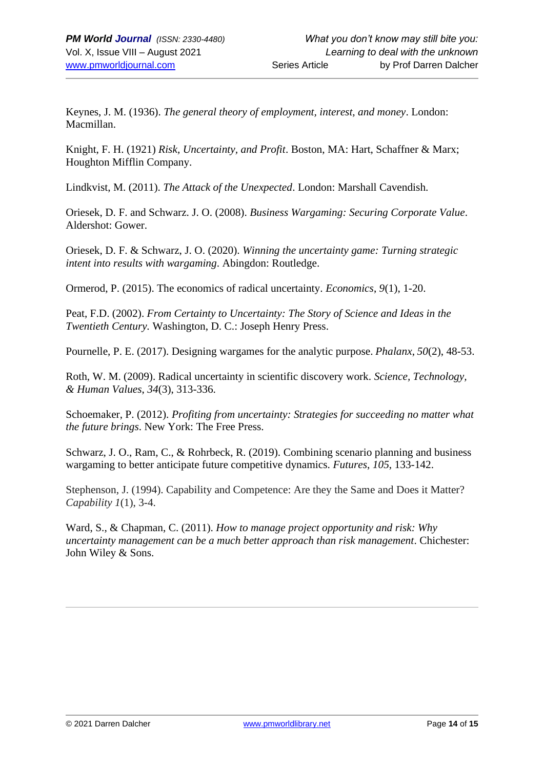Keynes, J. M. (1936). *The general theory of employment, interest, and money*. London: Macmillan.

Knight, F. H. (1921) *Risk, Uncertainty, and Profit*. Boston, MA: Hart, Schaffner & Marx; Houghton Mifflin Company.

Lindkvist, M. (2011). *The Attack of the Unexpected*. London: Marshall Cavendish.

Oriesek, D. F. and Schwarz. J. O. (2008). *Business Wargaming: Securing Corporate Value*. Aldershot: Gower.

Oriesek, D. F. & Schwarz, J. O. (2020). *Winning the uncertainty game: Turning strategic intent into results with wargaming*. Abingdon: Routledge.

Ormerod, P. (2015). The economics of radical uncertainty. *Economics*, *9*(1), 1-20.

Peat, F.D. (2002). *From Certainty to Uncertainty: The Story of Science and Ideas in the Twentieth Century.* Washington, D. C.: Joseph Henry Press.

Pournelle, P. E. (2017). Designing wargames for the analytic purpose. *Phalanx*, *50*(2), 48-53.

Roth, W. M. (2009). Radical uncertainty in scientific discovery work. *Science, Technology, & Human Values*, *34*(3), 313-336.

Schoemaker, P. (2012). *Profiting from uncertainty: Strategies for succeeding no matter what the future brings*. New York: The Free Press.

Schwarz, J. O., Ram, C., & Rohrbeck, R. (2019). Combining scenario planning and business wargaming to better anticipate future competitive dynamics. *Futures*, *105*, 133-142.

Stephenson, J. (1994). Capability and Competence: Are they the Same and Does it Matter? *Capability 1*(1), 3-4.

Ward, S., & Chapman, C. (2011). *How to manage project opportunity and risk: Why uncertainty management can be a much better approach than risk management*. Chichester: John Wiley & Sons.